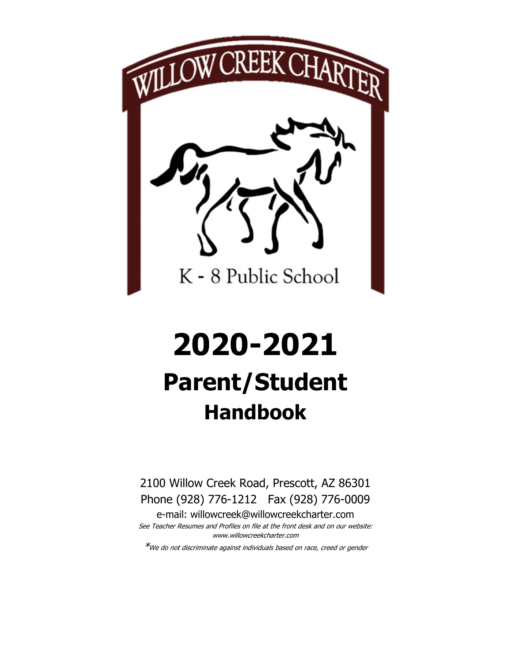

# **2020-2021 Parent/Student Handbook**

2100 Willow Creek Road, Prescott, AZ 86301 Phone (928) 776-1212 Fax (928) 776-0009

e-mail: willowcreek@willowcreekcharter.com See Teacher Resumes and Profiles on file at the front desk and on our website: www.willowcreekcharter.com

\*We do not discriminate against individuals based on race, creed or gender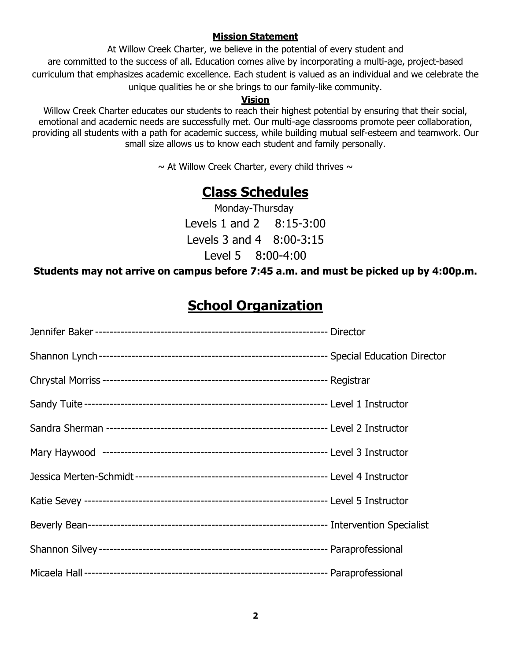# **Mission Statement**

At Willow Creek Charter, we believe in the potential of every student and are committed to the success of all. Education comes alive by incorporating a multi-age, project-based curriculum that emphasizes academic excellence. Each student is valued as an individual and we celebrate the unique qualities he or she brings to our family-like community.

# **Vision**

Willow Creek Charter educates our students to reach their highest potential by ensuring that their social, emotional and academic needs are successfully met. Our multi-age classrooms promote peer collaboration, providing all students with a path for academic success, while building mutual self-esteem and teamwork. Our small size allows us to know each student and family personally.

 $\sim$  At Willow Creek Charter, every child thrives  $\sim$ 

# **Class Schedules**

Monday-Thursday Levels 1 and 2 8:15-3:00 Levels 3 and 4 8:00-3:15 Level 5 8:00-4:00

# **Students may not arrive on campus before 7:45 a.m. and must be picked up by 4:00p.m.**

# **School Organization**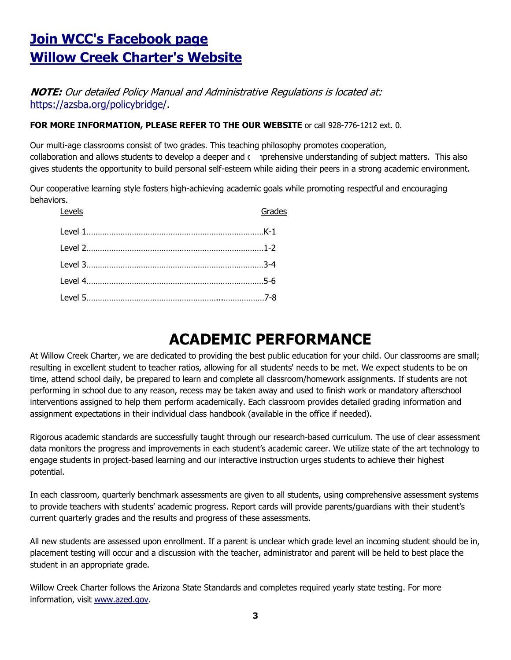# **Join WCC's Facebook page Willow Creek Charter's Website**

**NOTE:** Our detailed Policy Manual and Administrative Regulations is located at: https://azsba.org/policybridge/.

# **FOR MORE INFORMATION, PLEASE REFER TO THE OUR WEBSITE** or call 928-776-1212 ext. 0.

Our multi-age classrooms consist of two grades. This teaching philosophy promotes cooperation, collaboration and allows students to develop a deeper and comprehensive understanding of subject matters. This also gives students the opportunity to build personal self-esteem while aiding their peers in a strong academic environment.

Our cooperative learning style fosters high-achieving academic goals while promoting respectful and encouraging behaviors.

| Levels | Grades |
|--------|--------|
|        |        |
|        |        |
|        |        |
|        |        |
|        |        |

# **ACADEMIC PERFORMANCE**

At Willow Creek Charter, we are dedicated to providing the best public education for your child. Our classrooms are small; resulting in excellent student to teacher ratios, allowing for all students' needs to be met. We expect students to be on time, attend school daily, be prepared to learn and complete all classroom/homework assignments. If students are not performing in school due to any reason, recess may be taken away and used to finish work or mandatory afterschool interventions assigned to help them perform academically. Each classroom provides detailed grading information and assignment expectations in their individual class handbook (available in the office if needed).

Rigorous academic standards are successfully taught through our research-based curriculum. The use of clear assessment data monitors the progress and improvements in each student's academic career. We utilize state of the art technology to engage students in project-based learning and our interactive instruction urges students to achieve their highest potential.

In each classroom, quarterly benchmark assessments are given to all students, using comprehensive assessment systems to provide teachers with students' academic progress. Report cards will provide parents/guardians with their student's current quarterly grades and the results and progress of these assessments.

All new students are assessed upon enrollment. If a parent is unclear which grade level an incoming student should be in, placement testing will occur and a discussion with the teacher, administrator and parent will be held to best place the student in an appropriate grade.

Willow Creek Charter follows the Arizona State Standards and completes required yearly state testing. For more information, visit www.azed.gov.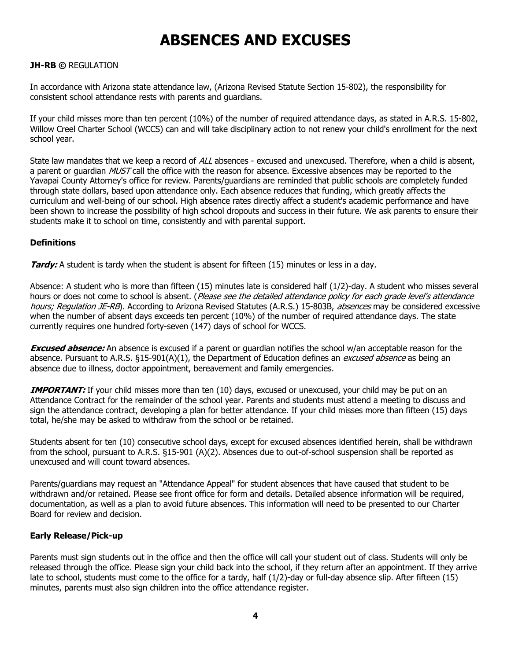# **ABSENCES AND EXCUSES**

### **JH-RB ©** REGULATION

In accordance with Arizona state attendance law, (Arizona Revised Statute Section 15-802), the responsibility for consistent school attendance rests with parents and guardians.

If your child misses more than ten percent (10%) of the number of required attendance days, as stated in A.R.S. 15-802, Willow Creel Charter School (WCCS) can and will take disciplinary action to not renew your child's enrollment for the next school year.

State law mandates that we keep a record of ALL absences - excused and unexcused. Therefore, when a child is absent, a parent or guardian MUST call the office with the reason for absence. Excessive absences may be reported to the Yavapai County Attorney's office for review. Parents/guardians are reminded that public schools are completely funded through state dollars, based upon attendance only. Each absence reduces that funding, which greatly affects the curriculum and well-being of our school. High absence rates directly affect a student's academic performance and have been shown to increase the possibility of high school dropouts and success in their future. We ask parents to ensure their students make it to school on time, consistently and with parental support.

### **Definitions**

**Tardy:** A student is tardy when the student is absent for fifteen (15) minutes or less in a day.

Absence: A student who is more than fifteen (15) minutes late is considered half (1/2)-day. A student who misses several hours or does not come to school is absent. (Please see the detailed attendance policy for each grade level's attendance hours; Regulation JE-RB). According to Arizona Revised Statutes (A.R.S.) 15-803B, absences may be considered excessive when the number of absent days exceeds ten percent (10%) of the number of required attendance days. The state currently requires one hundred forty-seven (147) days of school for WCCS.

**Excused absence:** An absence is excused if a parent or guardian notifies the school w/an acceptable reason for the absence. Pursuant to A.R.S. §15-901(A)(1), the Department of Education defines an *excused absence* as being an absence due to illness, doctor appointment, bereavement and family emergencies.

**IMPORTANT:** If your child misses more than ten (10) days, excused or unexcused, your child may be put on an Attendance Contract for the remainder of the school year. Parents and students must attend a meeting to discuss and sign the attendance contract, developing a plan for better attendance. If your child misses more than fifteen (15) days total, he/she may be asked to withdraw from the school or be retained.

Students absent for ten (10) consecutive school days, except for excused absences identified herein, shall be withdrawn from the school, pursuant to A.R.S. §15-901 (A)(2). Absences due to out-of-school suspension shall be reported as unexcused and will count toward absences.

Parents/guardians may request an "Attendance Appeal" for student absences that have caused that student to be withdrawn and/or retained. Please see front office for form and details. Detailed absence information will be required, documentation, as well as a plan to avoid future absences. This information will need to be presented to our Charter Board for review and decision.

# **Early Release/Pick-up**

Parents must sign students out in the office and then the office will call your student out of class. Students will only be released through the office. Please sign your child back into the school, if they return after an appointment. If they arrive late to school, students must come to the office for a tardy, half (1/2)-day or full-day absence slip. After fifteen (15) minutes, parents must also sign children into the office attendance register.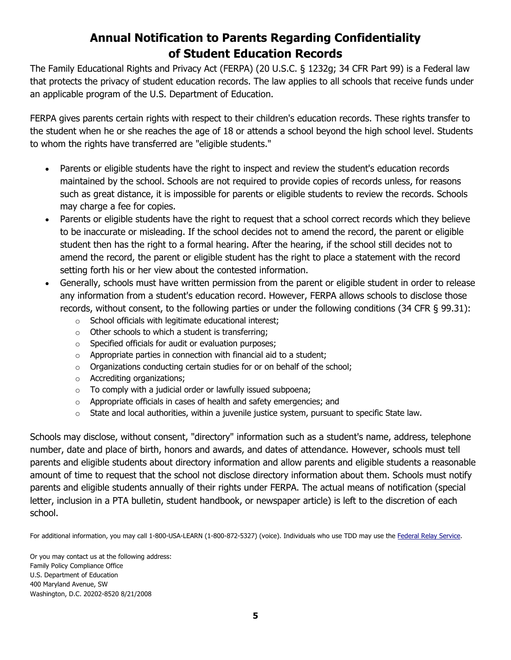# **Annual Notification to Parents Regarding Confidentiality of Student Education Records**

The Family Educational Rights and Privacy Act (FERPA) (20 U.S.C. § 1232g; 34 CFR Part 99) is a Federal law that protects the privacy of student education records. The law applies to all schools that receive funds under an applicable program of the U.S. Department of Education.

FERPA gives parents certain rights with respect to their children's education records. These rights transfer to the student when he or she reaches the age of 18 or attends a school beyond the high school level. Students to whom the rights have transferred are "eligible students."

- Parents or eligible students have the right to inspect and review the student's education records maintained by the school. Schools are not required to provide copies of records unless, for reasons such as great distance, it is impossible for parents or eligible students to review the records. Schools may charge a fee for copies.
- Parents or eligible students have the right to request that a school correct records which they believe to be inaccurate or misleading. If the school decides not to amend the record, the parent or eligible student then has the right to a formal hearing. After the hearing, if the school still decides not to amend the record, the parent or eligible student has the right to place a statement with the record setting forth his or her view about the contested information.
- Generally, schools must have written permission from the parent or eligible student in order to release any information from a student's education record. However, FERPA allows schools to disclose those records, without consent, to the following parties or under the following conditions (34 CFR § 99.31):
	- o School officials with legitimate educational interest;
	- o Other schools to which a student is transferring;
	- o Specified officials for audit or evaluation purposes;
	- $\circ$  Appropriate parties in connection with financial aid to a student;
	- o Organizations conducting certain studies for or on behalf of the school;
	- o Accrediting organizations;
	- $\circ$  To comply with a judicial order or lawfully issued subpoena;
	- o Appropriate officials in cases of health and safety emergencies; and
	- o State and local authorities, within a juvenile justice system, pursuant to specific State law.

Schools may disclose, without consent, "directory" information such as a student's name, address, telephone number, date and place of birth, honors and awards, and dates of attendance. However, schools must tell parents and eligible students about directory information and allow parents and eligible students a reasonable amount of time to request that the school not disclose directory information about them. Schools must notify parents and eligible students annually of their rights under FERPA. The actual means of notification (special letter, inclusion in a PTA bulletin, student handbook, or newspaper article) is left to the discretion of each school.

For additional information, you may call 1-800-USA-LEARN (1-800-872-5327) (voice). Individuals who use TDD may use the Federal Relay Service.

Or you may contact us at the following address: Family Policy Compliance Office U.S. Department of Education 400 Maryland Avenue, SW Washington, D.C. 20202-8520 8/21/2008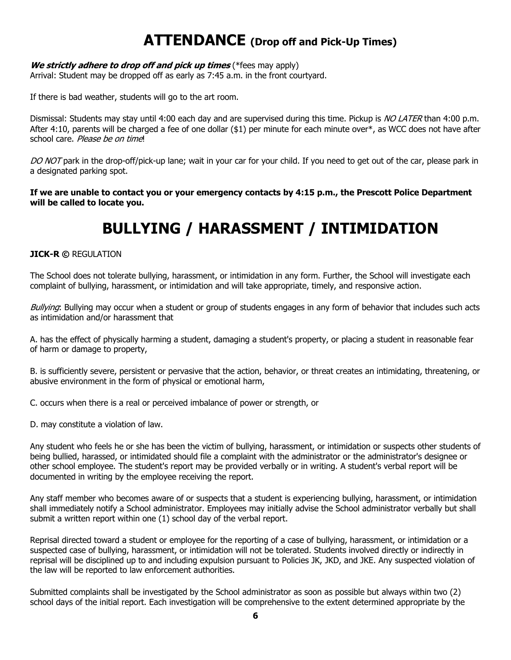# **ATTENDANCE (Drop off and Pick-Up Times)**

# **We strictly adhere to drop off and pick up times** (\*fees may apply)

Arrival: Student may be dropped off as early as 7:45 a.m. in the front courtyard.

If there is bad weather, students will go to the art room.

Dismissal: Students may stay until 4:00 each day and are supervised during this time. Pickup is NO LATER than 4:00 p.m. After 4:10, parents will be charged a fee of one dollar (\$1) per minute for each minute over\*, as WCC does not have after school care. Please be on time!

DO NOT park in the drop-off/pick-up lane; wait in your car for your child. If you need to get out of the car, please park in a designated parking spot.

**If we are unable to contact you or your emergency contacts by 4:15 p.m., the Prescott Police Department will be called to locate you.** 

# **BULLYING / HARASSMENT / INTIMIDATION**

### **JICK-R ©** REGULATION

The School does not tolerate bullying, harassment, or intimidation in any form. Further, the School will investigate each complaint of bullying, harassment, or intimidation and will take appropriate, timely, and responsive action.

Bullying: Bullying may occur when a student or group of students engages in any form of behavior that includes such acts as intimidation and/or harassment that

A. has the effect of physically harming a student, damaging a student's property, or placing a student in reasonable fear of harm or damage to property,

B. is sufficiently severe, persistent or pervasive that the action, behavior, or threat creates an intimidating, threatening, or abusive environment in the form of physical or emotional harm,

C. occurs when there is a real or perceived imbalance of power or strength, or

D. may constitute a violation of law.

Any student who feels he or she has been the victim of bullying, harassment, or intimidation or suspects other students of being bullied, harassed, or intimidated should file a complaint with the administrator or the administrator's designee or other school employee. The student's report may be provided verbally or in writing. A student's verbal report will be documented in writing by the employee receiving the report.

Any staff member who becomes aware of or suspects that a student is experiencing bullying, harassment, or intimidation shall immediately notify a School administrator. Employees may initially advise the School administrator verbally but shall submit a written report within one (1) school day of the verbal report.

Reprisal directed toward a student or employee for the reporting of a case of bullying, harassment, or intimidation or a suspected case of bullying, harassment, or intimidation will not be tolerated. Students involved directly or indirectly in reprisal will be disciplined up to and including expulsion pursuant to Policies JK, JKD, and JKE. Any suspected violation of the law will be reported to law enforcement authorities.

Submitted complaints shall be investigated by the School administrator as soon as possible but always within two (2) school days of the initial report. Each investigation will be comprehensive to the extent determined appropriate by the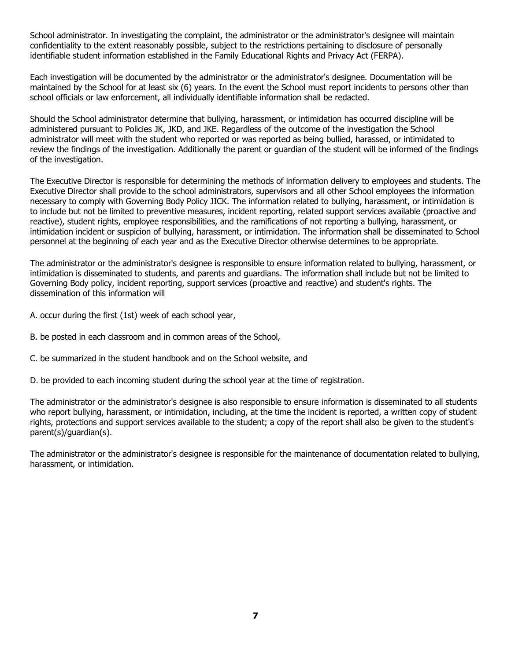School administrator. In investigating the complaint, the administrator or the administrator's designee will maintain confidentiality to the extent reasonably possible, subject to the restrictions pertaining to disclosure of personally identifiable student information established in the Family Educational Rights and Privacy Act (FERPA).

Each investigation will be documented by the administrator or the administrator's designee. Documentation will be maintained by the School for at least six (6) years. In the event the School must report incidents to persons other than school officials or law enforcement, all individually identifiable information shall be redacted.

Should the School administrator determine that bullying, harassment, or intimidation has occurred discipline will be administered pursuant to Policies JK, JKD, and JKE. Regardless of the outcome of the investigation the School administrator will meet with the student who reported or was reported as being bullied, harassed, or intimidated to review the findings of the investigation. Additionally the parent or guardian of the student will be informed of the findings of the investigation.

The Executive Director is responsible for determining the methods of information delivery to employees and students. The Executive Director shall provide to the school administrators, supervisors and all other School employees the information necessary to comply with Governing Body Policy JICK. The information related to bullying, harassment, or intimidation is to include but not be limited to preventive measures, incident reporting, related support services available (proactive and reactive), student rights, employee responsibilities, and the ramifications of not reporting a bullying, harassment, or intimidation incident or suspicion of bullying, harassment, or intimidation. The information shall be disseminated to School personnel at the beginning of each year and as the Executive Director otherwise determines to be appropriate.

The administrator or the administrator's designee is responsible to ensure information related to bullying, harassment, or intimidation is disseminated to students, and parents and guardians. The information shall include but not be limited to Governing Body policy, incident reporting, support services (proactive and reactive) and student's rights. The dissemination of this information will

- A. occur during the first (1st) week of each school year,
- B. be posted in each classroom and in common areas of the School,
- C. be summarized in the student handbook and on the School website, and
- D. be provided to each incoming student during the school year at the time of registration.

The administrator or the administrator's designee is also responsible to ensure information is disseminated to all students who report bullying, harassment, or intimidation, including, at the time the incident is reported, a written copy of student rights, protections and support services available to the student; a copy of the report shall also be given to the student's parent(s)/guardian(s).

The administrator or the administrator's designee is responsible for the maintenance of documentation related to bullying, harassment, or intimidation.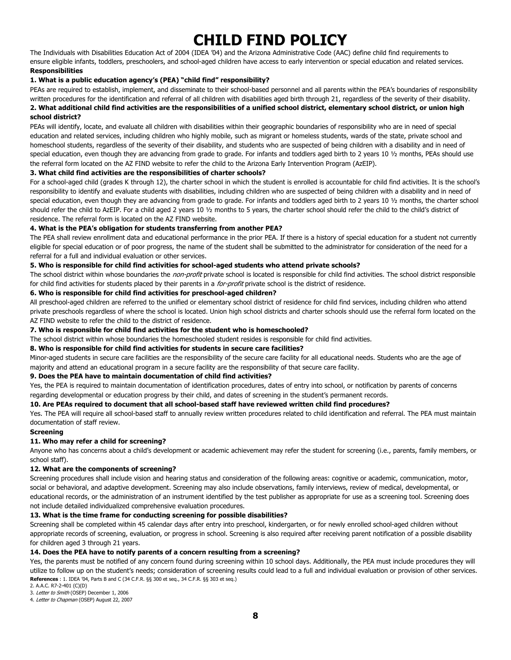# **CHILD FIND POLICY**

The Individuals with Disabilities Education Act of 2004 (IDEA '04) and the Arizona Administrative Code (AAC) define child find requirements to ensure eligible infants, toddlers, preschoolers, and school-aged children have access to early intervention or special education and related services. **Responsibilities** 

### **1. What is a public education agency's (PEA) "child find" responsibility?**

PEAs are required to establish, implement, and disseminate to their school-based personnel and all parents within the PEA's boundaries of responsibility written procedures for the identification and referral of all children with disabilities aged birth through 21, regardless of the severity of their disability. **2. What additional child find activities are the responsibilities of a unified school district, elementary school district, or union high school district?** 

PEAs will identify, locate, and evaluate all children with disabilities within their geographic boundaries of responsibility who are in need of special education and related services, including children who highly mobile, such as migrant or homeless students, wards of the state, private school and homeschool students, regardless of the severity of their disability, and students who are suspected of being children with a disability and in need of special education, even though they are advancing from grade to grade. For infants and toddlers aged birth to 2 years 10 1/2 months, PEAs should use the referral form located on the AZ FIND website to refer the child to the Arizona Early Intervention Program (AzEIP).

### **3. What child find activities are the responsibilities of charter schools?**

For a school-aged child (grades K through 12), the charter school in which the student is enrolled is accountable for child find activities. It is the school's responsibility to identify and evaluate students with disabilities, including children who are suspected of being children with a disability and in need of special education, even though they are advancing from grade to grade. For infants and toddlers aged birth to 2 years 10 1/2 months, the charter school should refer the child to AzEIP. For a child aged 2 years 10 ½ months to 5 years, the charter school should refer the child to the child's district of residence. The referral form is located on the AZ FIND website.

### **4. What is the PEA's obligation for students transferring from another PEA?**

The PEA shall review enrollment data and educational performance in the prior PEA. If there is a history of special education for a student not currently eligible for special education or of poor progress, the name of the student shall be submitted to the administrator for consideration of the need for a referral for a full and individual evaluation or other services.

#### **5. Who is responsible for child find activities for school-aged students who attend private schools?**

The school district within whose boundaries the non-profit private school is located is responsible for child find activities. The school district responsible for child find activities for students placed by their parents in a *for-profit* private school is the district of residence.

#### **6. Who is responsible for child find activities for preschool-aged children?**

All preschool-aged children are referred to the unified or elementary school district of residence for child find services, including children who attend private preschools regardless of where the school is located. Union high school districts and charter schools should use the referral form located on the AZ FIND website to refer the child to the district of residence.

#### **7. Who is responsible for child find activities for the student who is homeschooled?**

The school district within whose boundaries the homeschooled student resides is responsible for child find activities.

#### **8. Who is responsible for child find activities for students in secure care facilities?**

Minor-aged students in secure care facilities are the responsibility of the secure care facility for all educational needs. Students who are the age of majority and attend an educational program in a secure facility are the responsibility of that secure care facility.

#### **9. Does the PEA have to maintain documentation of child find activities?**

Yes, the PEA is required to maintain documentation of identification procedures, dates of entry into school, or notification by parents of concerns regarding developmental or education progress by their child, and dates of screening in the student's permanent records.

### **10. Are PEAs required to document that all school-based staff have reviewed written child find procedures?**

Yes. The PEA will require all school-based staff to annually review written procedures related to child identification and referral. The PEA must maintain documentation of staff review.

### **Screening**

### **11. Who may refer a child for screening?**

Anyone who has concerns about a child's development or academic achievement may refer the student for screening (i.e., parents, family members, or school staff).

#### **12. What are the components of screening?**

Screening procedures shall include vision and hearing status and consideration of the following areas: cognitive or academic, communication, motor, social or behavioral, and adaptive development. Screening may also include observations, family interviews, review of medical, developmental, or educational records, or the administration of an instrument identified by the test publisher as appropriate for use as a screening tool. Screening does not include detailed individualized comprehensive evaluation procedures.

### **13. What is the time frame for conducting screening for possible disabilities?**

Screening shall be completed within 45 calendar days after entry into preschool, kindergarten, or for newly enrolled school-aged children without appropriate records of screening, evaluation, or progress in school. Screening is also required after receiving parent notification of a possible disability for children aged 3 through 21 years.

#### **14. Does the PEA have to notify parents of a concern resulting from a screening?**

Yes, the parents must be notified of any concern found during screening within 10 school days. Additionally, the PEA must include procedures they will utilize to follow up on the student's needs; consideration of screening results could lead to a full and individual evaluation or provision of other services. **References** : 1. IDEA '04, Parts B and C (34 C.F.R. §§ 300 et seq., 34 C.F.R. §§ 303 et seq.)

2. A.A.C. R7-2-401 (C)(D)

3. Letter to Smith (OSEP) December 1, 2006

4. Letter to Chapman (OSEP) August 22, 2007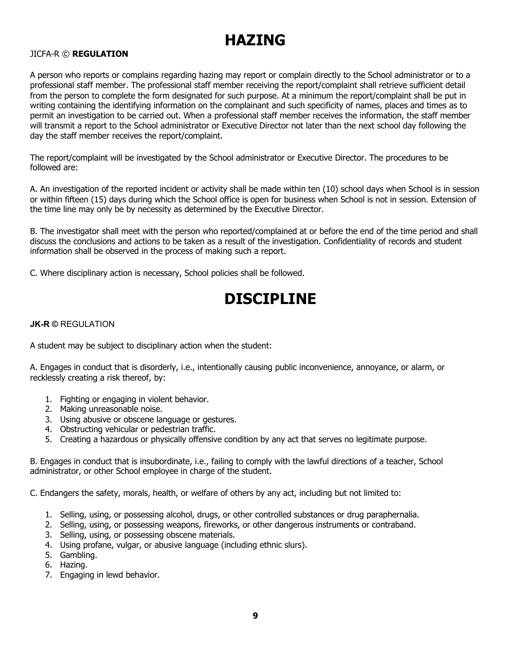# **HAZING**

### JICFA-R © **REGULATION**

A person who reports or complains regarding hazing may report or complain directly to the School administrator or to a professional staff member. The professional staff member receiving the report/complaint shall retrieve sufficient detail from the person to complete the form designated for such purpose. At a minimum the report/complaint shall be put in writing containing the identifying information on the complainant and such specificity of names, places and times as to permit an investigation to be carried out. When a professional staff member receives the information, the staff member will transmit a report to the School administrator or Executive Director not later than the next school day following the day the staff member receives the report/complaint.

The report/complaint will be investigated by the School administrator or Executive Director. The procedures to be followed are:

A. An investigation of the reported incident or activity shall be made within ten (10) school days when School is in session or within fifteen (15) days during which the School office is open for business when School is not in session. Extension of the time line may only be by necessity as determined by the Executive Director.

B. The investigator shall meet with the person who reported/complained at or before the end of the time period and shall discuss the conclusions and actions to be taken as a result of the investigation. Confidentiality of records and student information shall be observed in the process of making such a report.

C. Where disciplinary action is necessary, School policies shall be followed.

# **DISCIPLINE**

### **JK-R ©** REGULATION

A student may be subject to disciplinary action when the student:

A. Engages in conduct that is disorderly, i.e., intentionally causing public inconvenience, annoyance, or alarm, or recklessly creating a risk thereof, by:

- 1. Fighting or engaging in violent behavior.
- 2. Making unreasonable noise.
- 3. Using abusive or obscene language or gestures.
- 4. Obstructing vehicular or pedestrian traffic.
- 5. Creating a hazardous or physically offensive condition by any act that serves no legitimate purpose.

B. Engages in conduct that is insubordinate, i.e., failing to comply with the lawful directions of a teacher, School administrator, or other School employee in charge of the student.

C. Endangers the safety, morals, health, or welfare of others by any act, including but not limited to:

- 1. Selling, using, or possessing alcohol, drugs, or other controlled substances or drug paraphernalia.
- 2. Selling, using, or possessing weapons, fireworks, or other dangerous instruments or contraband.
- 3. Selling, using, or possessing obscene materials.
- 4. Using profane, vulgar, or abusive language (including ethnic slurs).
- 5. Gambling.
- 6. Hazing.
- 7. Engaging in lewd behavior.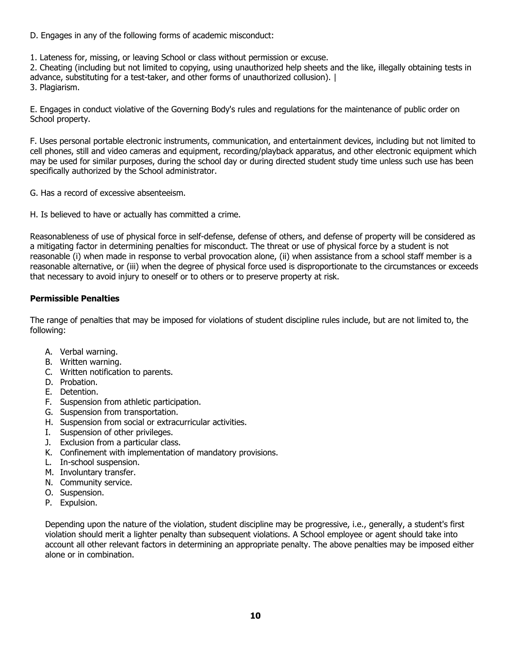D. Engages in any of the following forms of academic misconduct:

1. Lateness for, missing, or leaving School or class without permission or excuse.

2. Cheating (including but not limited to copying, using unauthorized help sheets and the like, illegally obtaining tests in advance, substituting for a test-taker, and other forms of unauthorized collusion). | 3. Plagiarism.

E. Engages in conduct violative of the Governing Body's rules and regulations for the maintenance of public order on School property.

F. Uses personal portable electronic instruments, communication, and entertainment devices, including but not limited to cell phones, still and video cameras and equipment, recording/playback apparatus, and other electronic equipment which may be used for similar purposes, during the school day or during directed student study time unless such use has been specifically authorized by the School administrator.

G. Has a record of excessive absenteeism.

H. Is believed to have or actually has committed a crime.

Reasonableness of use of physical force in self-defense, defense of others, and defense of property will be considered as a mitigating factor in determining penalties for misconduct. The threat or use of physical force by a student is not reasonable (i) when made in response to verbal provocation alone, (ii) when assistance from a school staff member is a reasonable alternative, or (iii) when the degree of physical force used is disproportionate to the circumstances or exceeds that necessary to avoid injury to oneself or to others or to preserve property at risk.

# **Permissible Penalties**

The range of penalties that may be imposed for violations of student discipline rules include, but are not limited to, the following:

- A. Verbal warning.
- B. Written warning.
- C. Written notification to parents.
- D. Probation.
- E. Detention.
- F. Suspension from athletic participation.
- G. Suspension from transportation.
- H. Suspension from social or extracurricular activities.
- I. Suspension of other privileges.
- J. Exclusion from a particular class.
- K. Confinement with implementation of mandatory provisions.
- L. In-school suspension.
- M. Involuntary transfer.
- N. Community service.
- O. Suspension.
- P. Expulsion.

Depending upon the nature of the violation, student discipline may be progressive, i.e., generally, a student's first violation should merit a lighter penalty than subsequent violations. A School employee or agent should take into account all other relevant factors in determining an appropriate penalty. The above penalties may be imposed either alone or in combination.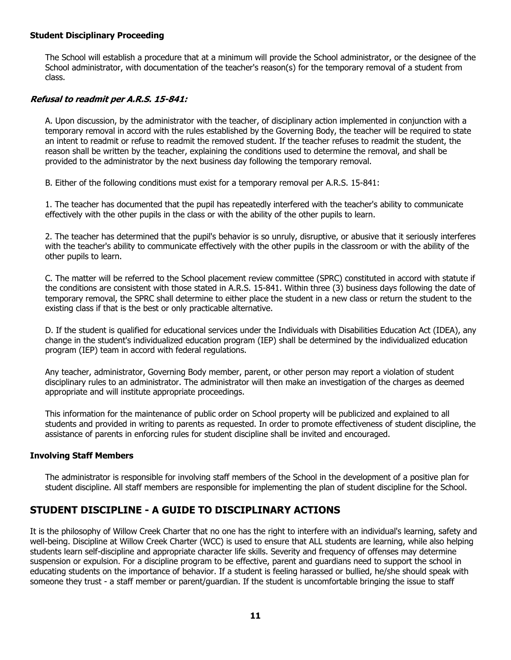### **Student Disciplinary Proceeding**

The School will establish a procedure that at a minimum will provide the School administrator, or the designee of the School administrator, with documentation of the teacher's reason(s) for the temporary removal of a student from class.

### **Refusal to readmit per A.R.S. 15-841:**

A. Upon discussion, by the administrator with the teacher, of disciplinary action implemented in conjunction with a temporary removal in accord with the rules established by the Governing Body, the teacher will be required to state an intent to readmit or refuse to readmit the removed student. If the teacher refuses to readmit the student, the reason shall be written by the teacher, explaining the conditions used to determine the removal, and shall be provided to the administrator by the next business day following the temporary removal.

B. Either of the following conditions must exist for a temporary removal per A.R.S. 15-841:

1. The teacher has documented that the pupil has repeatedly interfered with the teacher's ability to communicate effectively with the other pupils in the class or with the ability of the other pupils to learn.

2. The teacher has determined that the pupil's behavior is so unruly, disruptive, or abusive that it seriously interferes with the teacher's ability to communicate effectively with the other pupils in the classroom or with the ability of the other pupils to learn.

C. The matter will be referred to the School placement review committee (SPRC) constituted in accord with statute if the conditions are consistent with those stated in A.R.S. 15-841. Within three (3) business days following the date of temporary removal, the SPRC shall determine to either place the student in a new class or return the student to the existing class if that is the best or only practicable alternative.

D. If the student is qualified for educational services under the Individuals with Disabilities Education Act (IDEA), any change in the student's individualized education program (IEP) shall be determined by the individualized education program (IEP) team in accord with federal regulations.

Any teacher, administrator, Governing Body member, parent, or other person may report a violation of student disciplinary rules to an administrator. The administrator will then make an investigation of the charges as deemed appropriate and will institute appropriate proceedings.

This information for the maintenance of public order on School property will be publicized and explained to all students and provided in writing to parents as requested. In order to promote effectiveness of student discipline, the assistance of parents in enforcing rules for student discipline shall be invited and encouraged.

### **Involving Staff Members**

The administrator is responsible for involving staff members of the School in the development of a positive plan for student discipline. All staff members are responsible for implementing the plan of student discipline for the School.

# **STUDENT DISCIPLINE - A GUIDE TO DISCIPLINARY ACTIONS**

It is the philosophy of Willow Creek Charter that no one has the right to interfere with an individual's learning, safety and well-being. Discipline at Willow Creek Charter (WCC) is used to ensure that ALL students are learning, while also helping students learn self-discipline and appropriate character life skills. Severity and frequency of offenses may determine suspension or expulsion. For a discipline program to be effective, parent and guardians need to support the school in educating students on the importance of behavior. If a student is feeling harassed or bullied, he/she should speak with someone they trust - a staff member or parent/guardian. If the student is uncomfortable bringing the issue to staff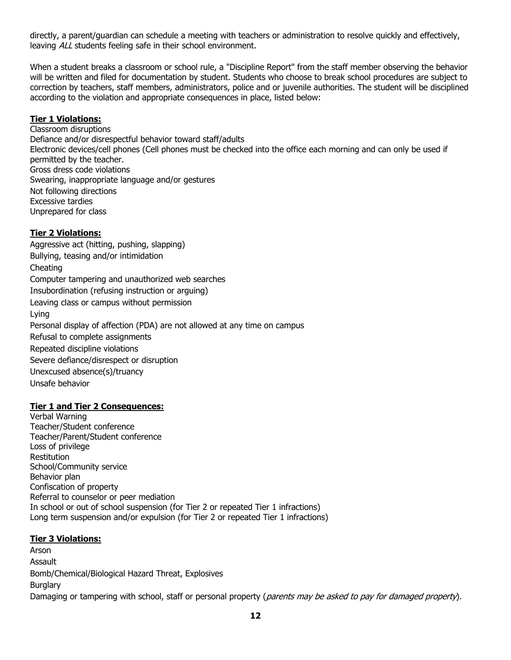directly, a parent/guardian can schedule a meeting with teachers or administration to resolve quickly and effectively, leaving ALL students feeling safe in their school environment.

When a student breaks a classroom or school rule, a "Discipline Report" from the staff member observing the behavior will be written and filed for documentation by student. Students who choose to break school procedures are subject to correction by teachers, staff members, administrators, police and or juvenile authorities. The student will be disciplined according to the violation and appropriate consequences in place, listed below:

### **Tier 1 Violations:**

Classroom disruptions Defiance and/or disrespectful behavior toward staff/adults Electronic devices/cell phones (Cell phones must be checked into the office each morning and can only be used if permitted by the teacher. Gross dress code violations Swearing, inappropriate language and/or gestures Not following directions Excessive tardies Unprepared for class

# **Tier 2 Violations:**

Aggressive act (hitting, pushing, slapping) Bullying, teasing and/or intimidation Cheating Computer tampering and unauthorized web searches Insubordination (refusing instruction or arguing) Leaving class or campus without permission Lying Personal display of affection (PDA) are not allowed at any time on campus Refusal to complete assignments Repeated discipline violations Severe defiance/disrespect or disruption Unexcused absence(s)/truancy Unsafe behavior

### **Tier 1 and Tier 2 Consequences:**

Verbal Warning Teacher/Student conference Teacher/Parent/Student conference Loss of privilege **Restitution** School/Community service Behavior plan Confiscation of property Referral to counselor or peer mediation In school or out of school suspension (for Tier 2 or repeated Tier 1 infractions) Long term suspension and/or expulsion (for Tier 2 or repeated Tier 1 infractions)

# **Tier 3 Violations:**

Arson Assault Bomb/Chemical/Biological Hazard Threat, Explosives **Burglary** Damaging or tampering with school, staff or personal property (parents may be asked to pay for damaged property).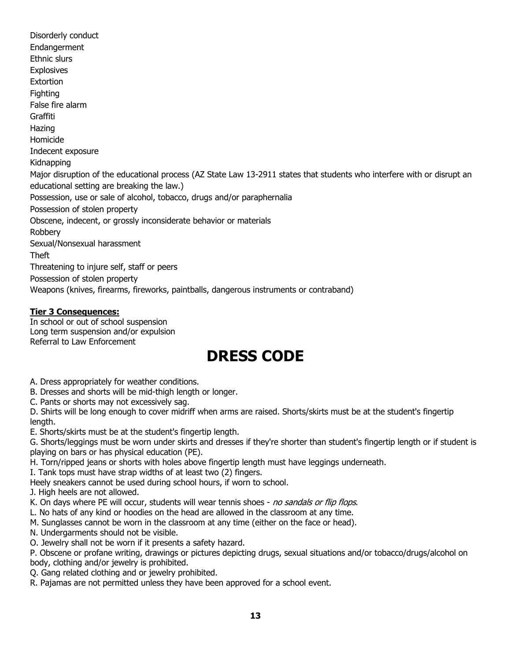Disorderly conduct **Endangerment** Ethnic slurs **Explosives** Extortion **Fighting** False fire alarm Graffiti Hazing Homicide Indecent exposure Kidnapping Major disruption of the educational process (AZ State Law 13-2911 states that students who interfere with or disrupt an educational setting are breaking the law.) Possession, use or sale of alcohol, tobacco, drugs and/or paraphernalia Possession of stolen property Obscene, indecent, or grossly inconsiderate behavior or materials Robbery Sexual/Nonsexual harassment Theft Threatening to injure self, staff or peers Possession of stolen property Weapons (knives, firearms, fireworks, paintballs, dangerous instruments or contraband)

# **Tier 3 Consequences:**

In school or out of school suspension Long term suspension and/or expulsion Referral to Law Enforcement

# **DRESS CODE**

- A. Dress appropriately for weather conditions.
- B. Dresses and shorts will be mid-thigh length or longer.
- C. Pants or shorts may not excessively sag.

D. Shirts will be long enough to cover midriff when arms are raised. Shorts/skirts must be at the student's fingertip length.

E. Shorts/skirts must be at the student's fingertip length.

G. Shorts/leggings must be worn under skirts and dresses if they're shorter than student's fingertip length or if student is playing on bars or has physical education (PE).

H. Torn/ripped jeans or shorts with holes above fingertip length must have leggings underneath.

I. Tank tops must have strap widths of at least two (2) fingers.

Heely sneakers cannot be used during school hours, if worn to school.

J. High heels are not allowed.

- K. On days where PE will occur, students will wear tennis shoes no sandals or flip flops.
- L. No hats of any kind or hoodies on the head are allowed in the classroom at any time.
- M. Sunglasses cannot be worn in the classroom at any time (either on the face or head).
- N. Undergarments should not be visible.
- O. Jewelry shall not be worn if it presents a safety hazard.

P. Obscene or profane writing, drawings or pictures depicting drugs, sexual situations and/or tobacco/drugs/alcohol on body, clothing and/or jewelry is prohibited.

- Q. Gang related clothing and or jewelry prohibited.
- R. Pajamas are not permitted unless they have been approved for a school event.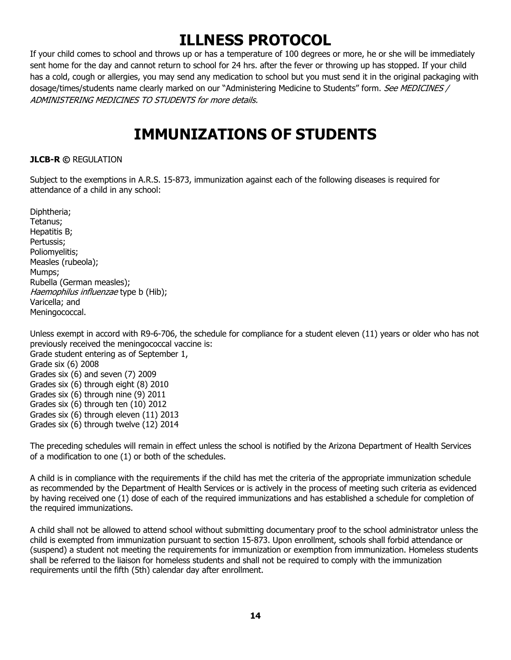# **ILLNESS PROTOCOL**

If your child comes to school and throws up or has a temperature of 100 degrees or more, he or she will be immediately sent home for the day and cannot return to school for 24 hrs. after the fever or throwing up has stopped. If your child has a cold, cough or allergies, you may send any medication to school but you must send it in the original packaging with dosage/times/students name clearly marked on our "Administering Medicine to Students" form. See MEDICINES / ADMINISTERING MEDICINES TO STUDENTS for more details.

# **IMMUNIZATIONS OF STUDENTS**

# **JLCB-R ©** REGULATION

Subject to the exemptions in A.R.S. 15-873, immunization against each of the following diseases is required for attendance of a child in any school:

Diphtheria; Tetanus; Hepatitis B; Pertussis; Poliomyelitis; Measles (rubeola); Mumps; Rubella (German measles); Haemophilus influenzae type b (Hib); Varicella; and Meningococcal.

Unless exempt in accord with R9-6-706, the schedule for compliance for a student eleven (11) years or older who has not previously received the meningococcal vaccine is: Grade student entering as of September 1, Grade six (6) 2008 Grades six (6) and seven (7) 2009 Grades six (6) through eight (8) 2010 Grades six (6) through nine (9) 2011 Grades six (6) through ten (10) 2012 Grades six (6) through eleven (11) 2013 Grades six (6) through twelve (12) 2014

The preceding schedules will remain in effect unless the school is notified by the Arizona Department of Health Services of a modification to one (1) or both of the schedules.

A child is in compliance with the requirements if the child has met the criteria of the appropriate immunization schedule as recommended by the Department of Health Services or is actively in the process of meeting such criteria as evidenced by having received one (1) dose of each of the required immunizations and has established a schedule for completion of the required immunizations.

A child shall not be allowed to attend school without submitting documentary proof to the school administrator unless the child is exempted from immunization pursuant to section 15-873. Upon enrollment, schools shall forbid attendance or (suspend) a student not meeting the requirements for immunization or exemption from immunization. Homeless students shall be referred to the liaison for homeless students and shall not be required to comply with the immunization requirements until the fifth (5th) calendar day after enrollment.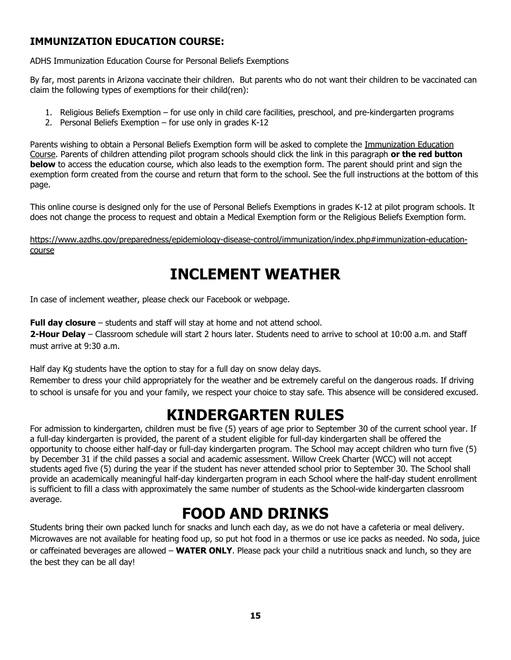# **IMMUNIZATION EDUCATION COURSE:**

ADHS Immunization Education Course for Personal Beliefs Exemptions

By far, most parents in Arizona vaccinate their children. But parents who do not want their children to be vaccinated can claim the following types of exemptions for their child(ren):

- 1. Religious Beliefs Exemption for use only in child care facilities, preschool, and pre-kindergarten programs
- 2. Personal Beliefs Exemption for use only in grades K-12

Parents wishing to obtain a Personal Beliefs Exemption form will be asked to complete the Immunization Education Course. Parents of children attending pilot program schools should click the link in this paragraph **or the red button below** to access the education course, which also leads to the exemption form. The parent should print and sign the exemption form created from the course and return that form to the school. See the full instructions at the bottom of this page.

This online course is designed only for the use of Personal Beliefs Exemptions in grades K-12 at pilot program schools. It does not change the process to request and obtain a Medical Exemption form or the Religious Beliefs Exemption form.

https://www.azdhs.gov/preparedness/epidemiology-disease-control/immunization/index.php#immunization-educationcourse

# **INCLEMENT WEATHER**

In case of inclement weather, please check our Facebook or webpage.

**Full day closure** – students and staff will stay at home and not attend school.

**2-Hour Delay** – Classroom schedule will start 2 hours later. Students need to arrive to school at 10:00 a.m. and Staff must arrive at 9:30 a.m.

Half day Kg students have the option to stay for a full day on snow delay days.

Remember to dress your child appropriately for the weather and be extremely careful on the dangerous roads. If driving to school is unsafe for you and your family, we respect your choice to stay safe. This absence will be considered excused.

# **KINDERGARTEN RULES**

For admission to kindergarten, children must be five (5) years of age prior to September 30 of the current school year. If a full-day kindergarten is provided, the parent of a student eligible for full-day kindergarten shall be offered the opportunity to choose either half-day or full-day kindergarten program. The School may accept children who turn five (5) by December 31 if the child passes a social and academic assessment. Willow Creek Charter (WCC) will not accept students aged five (5) during the year if the student has never attended school prior to September 30. The School shall provide an academically meaningful half-day kindergarten program in each School where the half-day student enrollment is sufficient to fill a class with approximately the same number of students as the School-wide kindergarten classroom average.

# **FOOD AND DRINKS**

Students bring their own packed lunch for snacks and lunch each day, as we do not have a cafeteria or meal delivery. Microwaves are not available for heating food up, so put hot food in a thermos or use ice packs as needed. No soda, juice or caffeinated beverages are allowed – **WATER ONLY**. Please pack your child a nutritious snack and lunch, so they are the best they can be all day!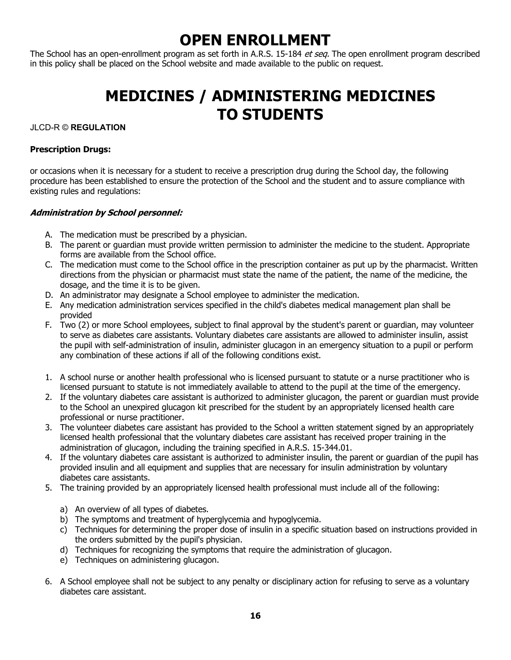# **OPEN ENROLLMENT**

The School has an open-enrollment program as set forth in A.R.S. 15-184 et seq. The open enrollment program described in this policy shall be placed on the School website and made available to the public on request.

# **MEDICINES / ADMINISTERING MEDICINES TO STUDENTS**

JLCD-R © **REGULATION** 

# **Prescription Drugs:**

or occasions when it is necessary for a student to receive a prescription drug during the School day, the following procedure has been established to ensure the protection of the School and the student and to assure compliance with existing rules and regulations:

# **Administration by School personnel:**

- A. The medication must be prescribed by a physician.
- B. The parent or guardian must provide written permission to administer the medicine to the student. Appropriate forms are available from the School office.
- C. The medication must come to the School office in the prescription container as put up by the pharmacist. Written directions from the physician or pharmacist must state the name of the patient, the name of the medicine, the dosage, and the time it is to be given.
- D. An administrator may designate a School employee to administer the medication.
- E. Any medication administration services specified in the child's diabetes medical management plan shall be provided
- F. Two (2) or more School employees, subject to final approval by the student's parent or guardian, may volunteer to serve as diabetes care assistants. Voluntary diabetes care assistants are allowed to administer insulin, assist the pupil with self-administration of insulin, administer glucagon in an emergency situation to a pupil or perform any combination of these actions if all of the following conditions exist.
- 1. A school nurse or another health professional who is licensed pursuant to statute or a nurse practitioner who is licensed pursuant to statute is not immediately available to attend to the pupil at the time of the emergency.
- 2. If the voluntary diabetes care assistant is authorized to administer glucagon, the parent or guardian must provide to the School an unexpired glucagon kit prescribed for the student by an appropriately licensed health care professional or nurse practitioner.
- 3. The volunteer diabetes care assistant has provided to the School a written statement signed by an appropriately licensed health professional that the voluntary diabetes care assistant has received proper training in the administration of glucagon, including the training specified in A.R.S. 15-344.01.
- 4. If the voluntary diabetes care assistant is authorized to administer insulin, the parent or guardian of the pupil has provided insulin and all equipment and supplies that are necessary for insulin administration by voluntary diabetes care assistants.
- 5. The training provided by an appropriately licensed health professional must include all of the following:
	- a) An overview of all types of diabetes.
	- b) The symptoms and treatment of hyperglycemia and hypoglycemia.
	- c) Techniques for determining the proper dose of insulin in a specific situation based on instructions provided in the orders submitted by the pupil's physician.
	- d) Techniques for recognizing the symptoms that require the administration of glucagon.
	- e) Techniques on administering glucagon.
- 6. A School employee shall not be subject to any penalty or disciplinary action for refusing to serve as a voluntary diabetes care assistant.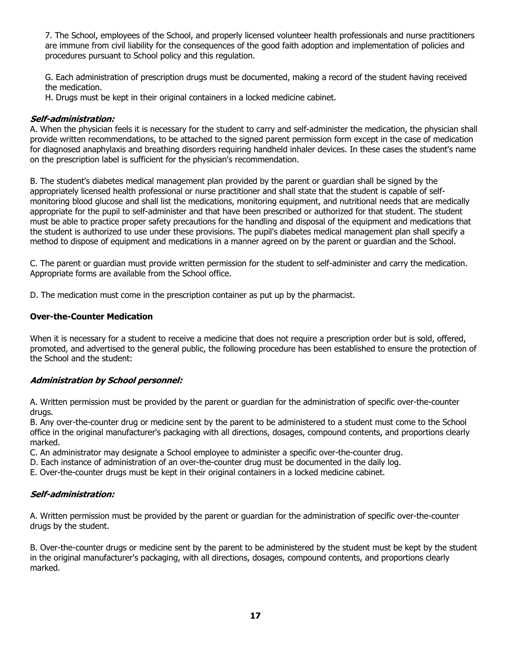7. The School, employees of the School, and properly licensed volunteer health professionals and nurse practitioners are immune from civil liability for the consequences of the good faith adoption and implementation of policies and procedures pursuant to School policy and this regulation.

G. Each administration of prescription drugs must be documented, making a record of the student having received the medication.

H. Drugs must be kept in their original containers in a locked medicine cabinet.

# **Self-administration:**

A. When the physician feels it is necessary for the student to carry and self-administer the medication, the physician shall provide written recommendations, to be attached to the signed parent permission form except in the case of medication for diagnosed anaphylaxis and breathing disorders requiring handheld inhaler devices. In these cases the student's name on the prescription label is sufficient for the physician's recommendation.

B. The student's diabetes medical management plan provided by the parent or guardian shall be signed by the appropriately licensed health professional or nurse practitioner and shall state that the student is capable of selfmonitoring blood glucose and shall list the medications, monitoring equipment, and nutritional needs that are medically appropriate for the pupil to self-administer and that have been prescribed or authorized for that student. The student must be able to practice proper safety precautions for the handling and disposal of the equipment and medications that the student is authorized to use under these provisions. The pupil's diabetes medical management plan shall specify a method to dispose of equipment and medications in a manner agreed on by the parent or guardian and the School.

C. The parent or guardian must provide written permission for the student to self-administer and carry the medication. Appropriate forms are available from the School office.

D. The medication must come in the prescription container as put up by the pharmacist.

# **Over-the-Counter Medication**

When it is necessary for a student to receive a medicine that does not require a prescription order but is sold, offered, promoted, and advertised to the general public, the following procedure has been established to ensure the protection of the School and the student:

### **Administration by School personnel:**

A. Written permission must be provided by the parent or guardian for the administration of specific over-the-counter drugs.

B. Any over-the-counter drug or medicine sent by the parent to be administered to a student must come to the School office in the original manufacturer's packaging with all directions, dosages, compound contents, and proportions clearly marked.

C. An administrator may designate a School employee to administer a specific over-the-counter drug.

D. Each instance of administration of an over-the-counter drug must be documented in the daily log.

E. Over-the-counter drugs must be kept in their original containers in a locked medicine cabinet.

### **Self-administration:**

A. Written permission must be provided by the parent or guardian for the administration of specific over-the-counter drugs by the student.

B. Over-the-counter drugs or medicine sent by the parent to be administered by the student must be kept by the student in the original manufacturer's packaging, with all directions, dosages, compound contents, and proportions clearly marked.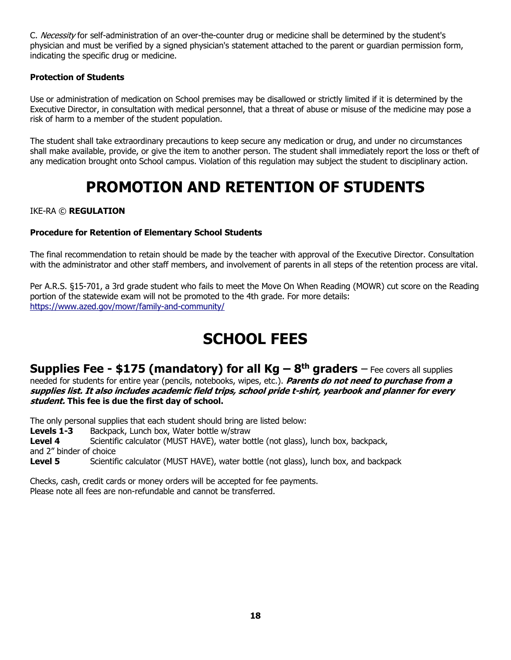C. Necessity for self-administration of an over-the-counter drug or medicine shall be determined by the student's physician and must be verified by a signed physician's statement attached to the parent or guardian permission form, indicating the specific drug or medicine.

# **Protection of Students**

Use or administration of medication on School premises may be disallowed or strictly limited if it is determined by the Executive Director, in consultation with medical personnel, that a threat of abuse or misuse of the medicine may pose a risk of harm to a member of the student population.

The student shall take extraordinary precautions to keep secure any medication or drug, and under no circumstances shall make available, provide, or give the item to another person. The student shall immediately report the loss or theft of any medication brought onto School campus. Violation of this regulation may subject the student to disciplinary action.

# **PROMOTION AND RETENTION OF STUDENTS**

### IKE-RA © **REGULATION**

### **Procedure for Retention of Elementary School Students**

The final recommendation to retain should be made by the teacher with approval of the Executive Director. Consultation with the administrator and other staff members, and involvement of parents in all steps of the retention process are vital.

Per A.R.S. §15-701, a 3rd grade student who fails to meet the Move On When Reading (MOWR) cut score on the Reading portion of the statewide exam will not be promoted to the 4th grade. For more details: https://www.azed.gov/mowr/family-and-community/

# **SCHOOL FEES**

**Supplies Fee - \$175 (mandatory) for all Kg – 8th graders** – Fee covers all supplies needed for students for entire year (pencils, notebooks, wipes, etc.). **Parents do not need to purchase from a supplies list. It also includes academic field trips, school pride t-shirt, yearbook and planner for every student. This fee is due the first day of school.**

The only personal supplies that each student should bring are listed below:

Levels 1-3 Backpack, Lunch box, Water bottle w/straw

**Level 4** Scientific calculator (MUST HAVE), water bottle (not glass), lunch box, backpack, and 2" binder of choice

**Level 5** Scientific calculator (MUST HAVE), water bottle (not glass), lunch box, and backpack

Checks, cash, credit cards or money orders will be accepted for fee payments. Please note all fees are non-refundable and cannot be transferred.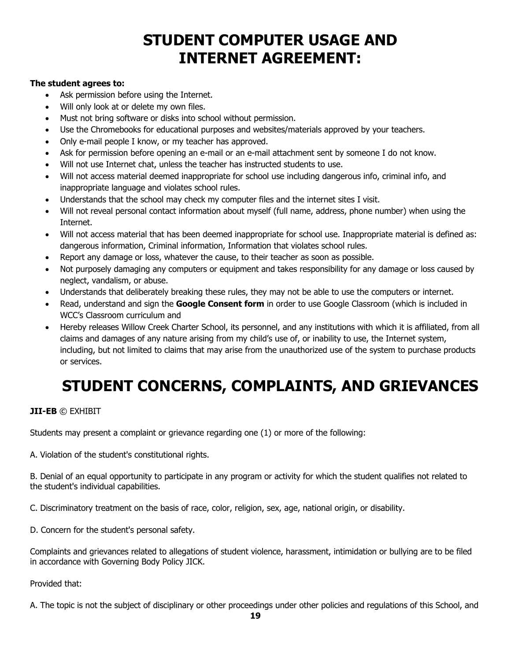# **STUDENT COMPUTER USAGE AND INTERNET AGREEMENT:**

# **The student agrees to:**

- Ask permission before using the Internet.
- Will only look at or delete my own files.
- Must not bring software or disks into school without permission.
- Use the Chromebooks for educational purposes and websites/materials approved by your teachers.
- Only e-mail people I know, or my teacher has approved.
- Ask for permission before opening an e-mail or an e-mail attachment sent by someone I do not know.
- Will not use Internet chat, unless the teacher has instructed students to use.
- Will not access material deemed inappropriate for school use including dangerous info, criminal info, and inappropriate language and violates school rules.
- Understands that the school may check my computer files and the internet sites I visit.
- Will not reveal personal contact information about myself (full name, address, phone number) when using the Internet.
- Will not access material that has been deemed inappropriate for school use. Inappropriate material is defined as: dangerous information, Criminal information, Information that violates school rules.
- Report any damage or loss, whatever the cause, to their teacher as soon as possible.
- Not purposely damaging any computers or equipment and takes responsibility for any damage or loss caused by neglect, vandalism, or abuse.
- Understands that deliberately breaking these rules, they may not be able to use the computers or internet.
- Read, understand and sign the **Google Consent form** in order to use Google Classroom (which is included in WCC's Classroom curriculum and
- Hereby releases Willow Creek Charter School, its personnel, and any institutions with which it is affiliated, from all claims and damages of any nature arising from my child's use of, or inability to use, the Internet system, including, but not limited to claims that may arise from the unauthorized use of the system to purchase products or services.

# **STUDENT CONCERNS, COMPLAINTS, AND GRIEVANCES**

# **JII-EB** © EXHIBIT

Students may present a complaint or grievance regarding one (1) or more of the following:

A. Violation of the student's constitutional rights.

B. Denial of an equal opportunity to participate in any program or activity for which the student qualifies not related to the student's individual capabilities.

C. Discriminatory treatment on the basis of race, color, religion, sex, age, national origin, or disability.

D. Concern for the student's personal safety.

Complaints and grievances related to allegations of student violence, harassment, intimidation or bullying are to be filed in accordance with Governing Body Policy JICK.

Provided that:

A. The topic is not the subject of disciplinary or other proceedings under other policies and regulations of this School, and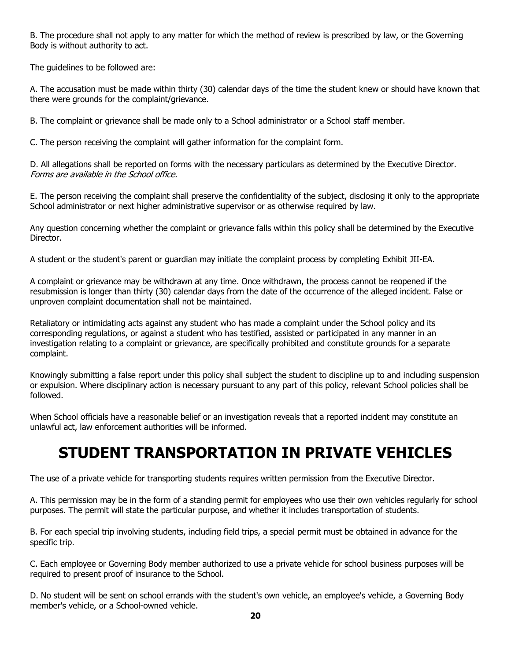B. The procedure shall not apply to any matter for which the method of review is prescribed by law, or the Governing Body is without authority to act.

The guidelines to be followed are:

A. The accusation must be made within thirty (30) calendar days of the time the student knew or should have known that there were grounds for the complaint/grievance.

B. The complaint or grievance shall be made only to a School administrator or a School staff member.

C. The person receiving the complaint will gather information for the complaint form.

D. All allegations shall be reported on forms with the necessary particulars as determined by the Executive Director. Forms are available in the School office.

E. The person receiving the complaint shall preserve the confidentiality of the subject, disclosing it only to the appropriate School administrator or next higher administrative supervisor or as otherwise required by law.

Any question concerning whether the complaint or grievance falls within this policy shall be determined by the Executive Director.

A student or the student's parent or guardian may initiate the complaint process by completing Exhibit JII-EA.

A complaint or grievance may be withdrawn at any time. Once withdrawn, the process cannot be reopened if the resubmission is longer than thirty (30) calendar days from the date of the occurrence of the alleged incident. False or unproven complaint documentation shall not be maintained.

Retaliatory or intimidating acts against any student who has made a complaint under the School policy and its corresponding regulations, or against a student who has testified, assisted or participated in any manner in an investigation relating to a complaint or grievance, are specifically prohibited and constitute grounds for a separate complaint.

Knowingly submitting a false report under this policy shall subject the student to discipline up to and including suspension or expulsion. Where disciplinary action is necessary pursuant to any part of this policy, relevant School policies shall be followed.

When School officials have a reasonable belief or an investigation reveals that a reported incident may constitute an unlawful act, law enforcement authorities will be informed.

# **STUDENT TRANSPORTATION IN PRIVATE VEHICLES**

The use of a private vehicle for transporting students requires written permission from the Executive Director.

A. This permission may be in the form of a standing permit for employees who use their own vehicles regularly for school purposes. The permit will state the particular purpose, and whether it includes transportation of students.

B. For each special trip involving students, including field trips, a special permit must be obtained in advance for the specific trip.

C. Each employee or Governing Body member authorized to use a private vehicle for school business purposes will be required to present proof of insurance to the School.

D. No student will be sent on school errands with the student's own vehicle, an employee's vehicle, a Governing Body member's vehicle, or a School-owned vehicle.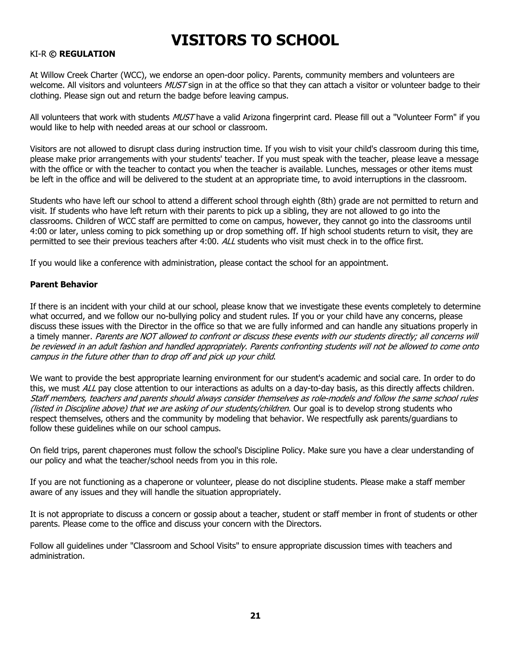# **VISITORS TO SCHOOL**

### KI-R **© REGULATION**

At Willow Creek Charter (WCC), we endorse an open-door policy. Parents, community members and volunteers are welcome. All visitors and volunteers *MUST* sign in at the office so that they can attach a visitor or volunteer badge to their clothing. Please sign out and return the badge before leaving campus.

All volunteers that work with students *MUST* have a valid Arizona fingerprint card. Please fill out a "Volunteer Form" if you would like to help with needed areas at our school or classroom.

Visitors are not allowed to disrupt class during instruction time. If you wish to visit your child's classroom during this time, please make prior arrangements with your students' teacher. If you must speak with the teacher, please leave a message with the office or with the teacher to contact you when the teacher is available. Lunches, messages or other items must be left in the office and will be delivered to the student at an appropriate time, to avoid interruptions in the classroom.

Students who have left our school to attend a different school through eighth (8th) grade are not permitted to return and visit. If students who have left return with their parents to pick up a sibling, they are not allowed to go into the classrooms. Children of WCC staff are permitted to come on campus, however, they cannot go into the classrooms until 4:00 or later, unless coming to pick something up or drop something off. If high school students return to visit, they are permitted to see their previous teachers after 4:00. ALL students who visit must check in to the office first.

If you would like a conference with administration, please contact the school for an appointment.

### **Parent Behavior**

If there is an incident with your child at our school, please know that we investigate these events completely to determine what occurred, and we follow our no-bullying policy and student rules. If you or your child have any concerns, please discuss these issues with the Director in the office so that we are fully informed and can handle any situations properly in a timely manner. Parents are NOT allowed to confront or discuss these events with our students directly; all concerns will be reviewed in an adult fashion and handled appropriately. Parents confronting students will not be allowed to come onto campus in the future other than to drop off and pick up your child.

We want to provide the best appropriate learning environment for our student's academic and social care. In order to do this, we must ALL pay close attention to our interactions as adults on a day-to-day basis, as this directly affects children. Staff members, teachers and parents should always consider themselves as role-models and follow the same school rules (listed in Discipline above) that we are asking of our students/children. Our goal is to develop strong students who respect themselves, others and the community by modeling that behavior. We respectfully ask parents/guardians to follow these guidelines while on our school campus.

On field trips, parent chaperones must follow the school's Discipline Policy. Make sure you have a clear understanding of our policy and what the teacher/school needs from you in this role.

If you are not functioning as a chaperone or volunteer, please do not discipline students. Please make a staff member aware of any issues and they will handle the situation appropriately.

It is not appropriate to discuss a concern or gossip about a teacher, student or staff member in front of students or other parents. Please come to the office and discuss your concern with the Directors.

Follow all guidelines under "Classroom and School Visits" to ensure appropriate discussion times with teachers and administration.